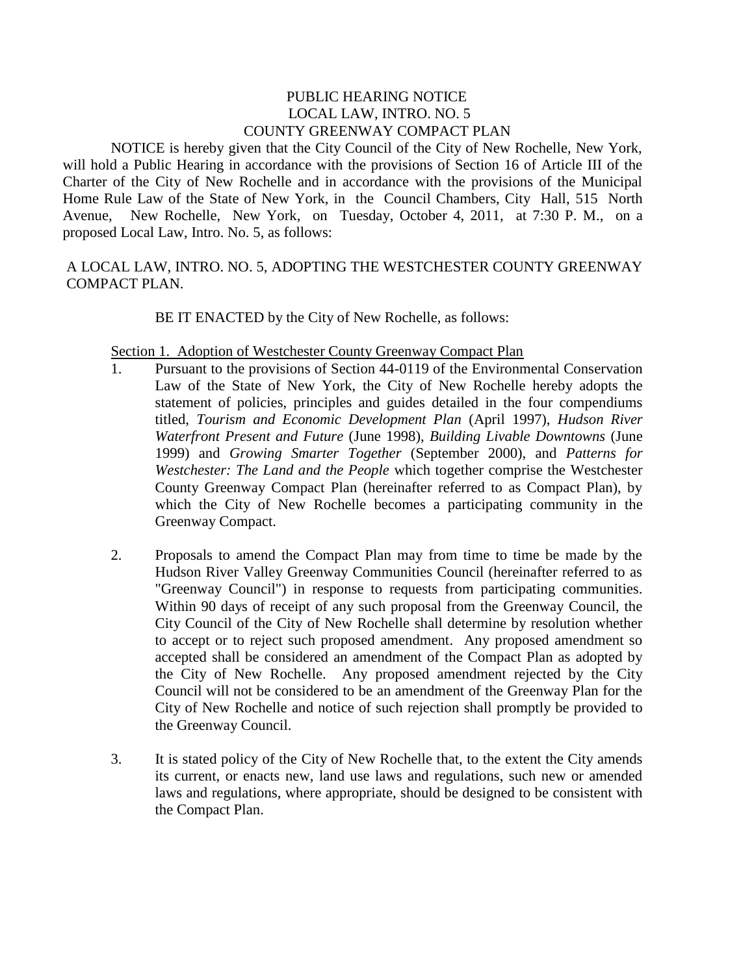## PUBLIC HEARING NOTICE LOCAL LAW, INTRO. NO. 5 COUNTY GREENWAY COMPACT PLAN

NOTICE is hereby given that the City Council of the City of New Rochelle, New York, will hold a Public Hearing in accordance with the provisions of Section 16 of Article III of the Charter of the City of New Rochelle and in accordance with the provisions of the Municipal Home Rule Law of the State of New York, in the Council Chambers, City Hall, 515 North Avenue, New Rochelle, New York, on Tuesday, October 4, 2011, at 7:30 P. M., on a proposed Local Law, Intro. No. 5, as follows:

# A LOCAL LAW, INTRO. NO. 5, ADOPTING THE WESTCHESTER COUNTY GREENWAY COMPACT PLAN.

BE IT ENACTED by the City of New Rochelle, as follows:

#### Section 1. Adoption of Westchester County Greenway Compact Plan

- 1. Pursuant to the provisions of Section 44-0119 of the Environmental Conservation Law of the State of New York, the City of New Rochelle hereby adopts the statement of policies, principles and guides detailed in the four compendiums titled, *Tourism and Economic Development Plan* (April 1997), *Hudson River Waterfront Present and Future* (June 1998), *Building Livable Downtowns* (June 1999) and *Growing Smarter Together* (September 2000), and *Patterns for Westchester: The Land and the People* which together comprise the Westchester County Greenway Compact Plan (hereinafter referred to as Compact Plan), by which the City of New Rochelle becomes a participating community in the Greenway Compact.
- 2. Proposals to amend the Compact Plan may from time to time be made by the Hudson River Valley Greenway Communities Council (hereinafter referred to as "Greenway Council") in response to requests from participating communities. Within 90 days of receipt of any such proposal from the Greenway Council, the City Council of the City of New Rochelle shall determine by resolution whether to accept or to reject such proposed amendment. Any proposed amendment so accepted shall be considered an amendment of the Compact Plan as adopted by the City of New Rochelle. Any proposed amendment rejected by the City Council will not be considered to be an amendment of the Greenway Plan for the City of New Rochelle and notice of such rejection shall promptly be provided to the Greenway Council.
- 3. It is stated policy of the City of New Rochelle that, to the extent the City amends its current, or enacts new, land use laws and regulations, such new or amended laws and regulations, where appropriate, should be designed to be consistent with the Compact Plan.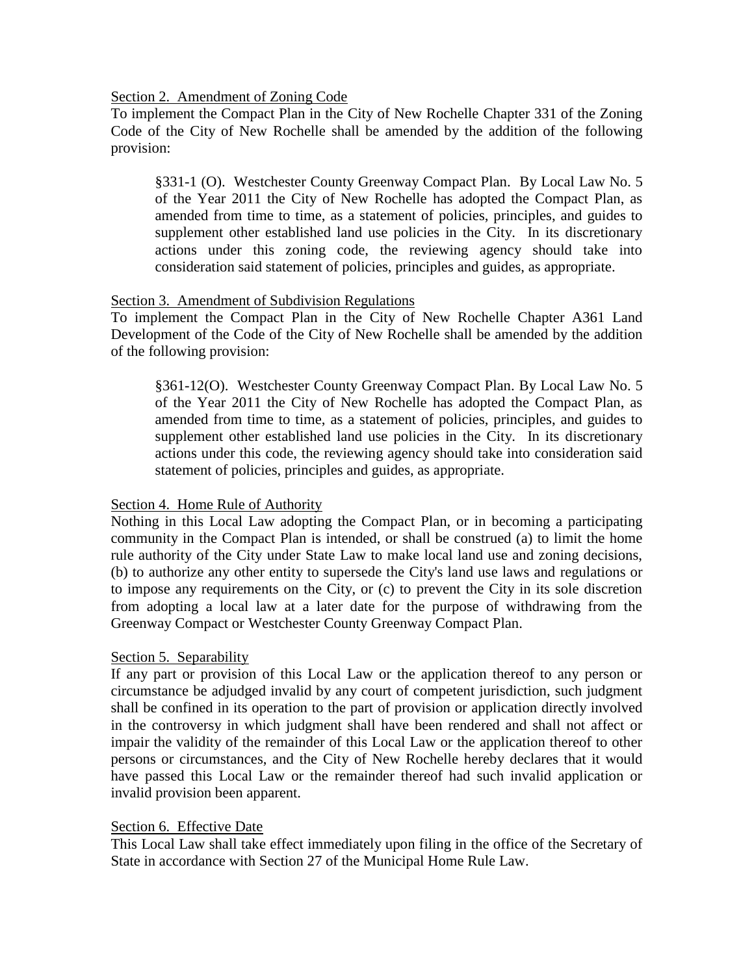#### Section 2. Amendment of Zoning Code

To implement the Compact Plan in the City of New Rochelle Chapter 331 of the Zoning Code of the City of New Rochelle shall be amended by the addition of the following provision:

§331-1 (O). Westchester County Greenway Compact Plan. By Local Law No. 5 of the Year 2011 the City of New Rochelle has adopted the Compact Plan, as amended from time to time, as a statement of policies, principles, and guides to supplement other established land use policies in the City. In its discretionary actions under this zoning code, the reviewing agency should take into consideration said statement of policies, principles and guides, as appropriate.

## Section 3. Amendment of Subdivision Regulations

To implement the Compact Plan in the City of New Rochelle Chapter A361 Land Development of the Code of the City of New Rochelle shall be amended by the addition of the following provision:

§361-12(O). Westchester County Greenway Compact Plan. By Local Law No. 5 of the Year 2011 the City of New Rochelle has adopted the Compact Plan, as amended from time to time, as a statement of policies, principles, and guides to supplement other established land use policies in the City. In its discretionary actions under this code, the reviewing agency should take into consideration said statement of policies, principles and guides, as appropriate.

## Section 4. Home Rule of Authority

Nothing in this Local Law adopting the Compact Plan, or in becoming a participating community in the Compact Plan is intended, or shall be construed (a) to limit the home rule authority of the City under State Law to make local land use and zoning decisions, (b) to authorize any other entity to supersede the City's land use laws and regulations or to impose any requirements on the City, or (c) to prevent the City in its sole discretion from adopting a local law at a later date for the purpose of withdrawing from the Greenway Compact or Westchester County Greenway Compact Plan.

## Section 5. Separability

If any part or provision of this Local Law or the application thereof to any person or circumstance be adjudged invalid by any court of competent jurisdiction, such judgment shall be confined in its operation to the part of provision or application directly involved in the controversy in which judgment shall have been rendered and shall not affect or impair the validity of the remainder of this Local Law or the application thereof to other persons or circumstances, and the City of New Rochelle hereby declares that it would have passed this Local Law or the remainder thereof had such invalid application or invalid provision been apparent.

## Section 6. Effective Date

This Local Law shall take effect immediately upon filing in the office of the Secretary of State in accordance with Section 27 of the Municipal Home Rule Law.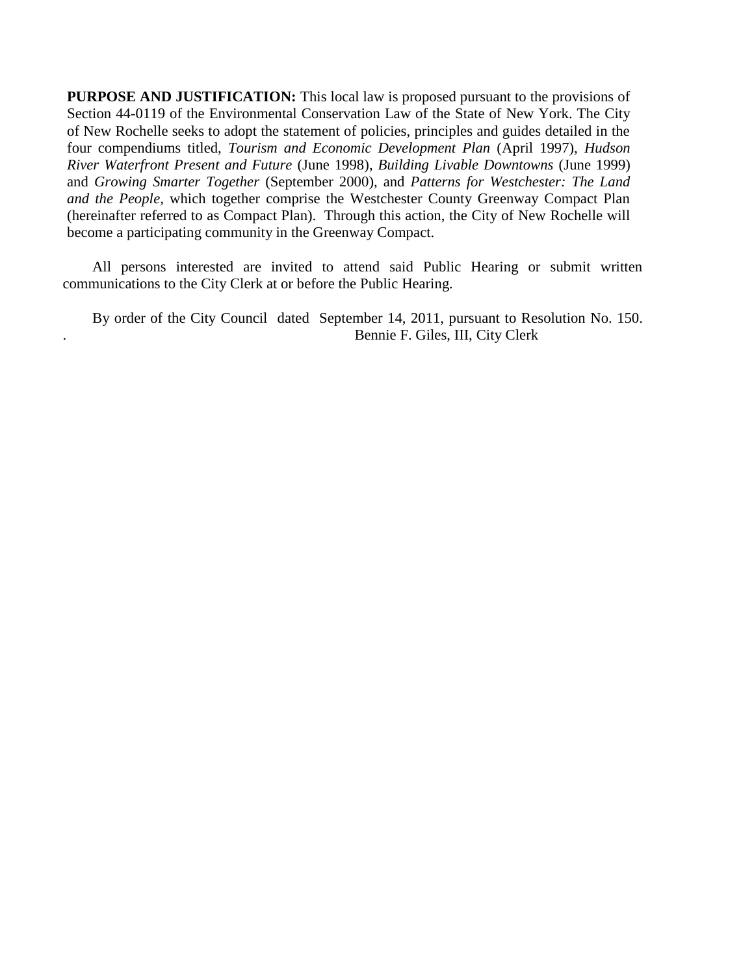**PURPOSE AND JUSTIFICATION:** This local law is proposed pursuant to the provisions of Section 44-0119 of the Environmental Conservation Law of the State of New York. The City of New Rochelle seeks to adopt the statement of policies, principles and guides detailed in the four compendiums titled, *Tourism and Economic Development Plan* (April 1997), *Hudson River Waterfront Present and Future* (June 1998), *Building Livable Downtowns* (June 1999) and *Growing Smarter Together* (September 2000), and *Patterns for Westchester: The Land and the People,* which together comprise the Westchester County Greenway Compact Plan (hereinafter referred to as Compact Plan). Through this action, the City of New Rochelle will become a participating community in the Greenway Compact.

 All persons interested are invited to attend said Public Hearing or submit written communications to the City Clerk at or before the Public Hearing.

 By order of the City Council dated September 14, 2011, pursuant to Resolution No. 150. . Bennie F. Giles, III, City Clerk